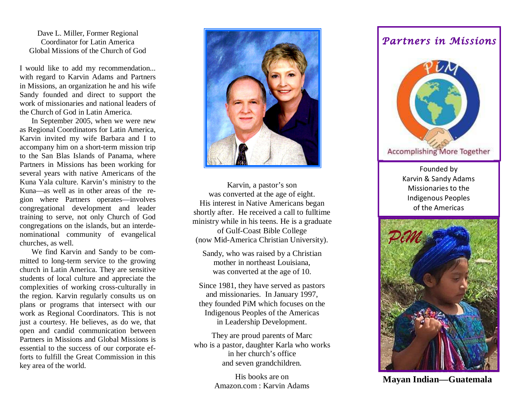Dave L. Miller, Former Regional Coordinator for Latin America Global Missions of the Church of God

I would like to add my recommendation... with regard to Karvin Adams and Partners in Missions, an organization he and his wife Sandy founded and direct to support the work of missionaries and national leaders of the Church of God in Latin America.

 In September 2005, when we were new as Regional Coordinators for Latin America, Karvin invited my wife Barbara and I to accompany him on a short-term mission trip to the San Blas Islands of Panama, where Partners in Missions has been working for several years with native Americans of the Kuna Yala culture. Karvin's ministry to the Kuna—as well as in other areas of the region where Partners operates—involves congregational development and leader training to serve, not only Church of God congregations on the islands, but an interdenominational community of evangelical churches, as well.

 We find Karvin and Sandy to be committed to long-term service to the growing church in Latin America. They are sensitive students of local culture and appreciate the complexities of working cross-culturally in the region. Karvin regularly consults us on plans or programs that intersect with our work as Regional Coordinators. This is not just a courtesy. He believes, as do we, that open and candid communication between Partners in Missions and Global Missions is essential to the success of our corporate efforts to fulfill the Great Commission in this key area of the world.



Karvin, a pastor's son was converted at the age of eight. His interest in Native Americans began shortly after. He received a call to fulltime ministry while in his teens. He is a graduate of Gulf-Coast Bible College (now Mid-America Christian University).

Sandy, who was raised by a Christian mother in northeast Louisiana, was converted at the age of 10.

Since 1981, they have served as pastors and missionaries. In January 1997, they founded PiM which focuses on the Indigenous Peoples of the Americas in Leadership Development.

They are proud parents of Marc who is a pastor, daughter Karla who works in her church's office and seven grandchildren.

> His books are on Amazon.com : Karvin Adams

## Partners in Missions



Founded by Karvin & Sandy Adams Missionaries to the Indigenous Peoples of the Americas



Amazon.com : Karvin Adams **Mayan Indian—Guatemala**